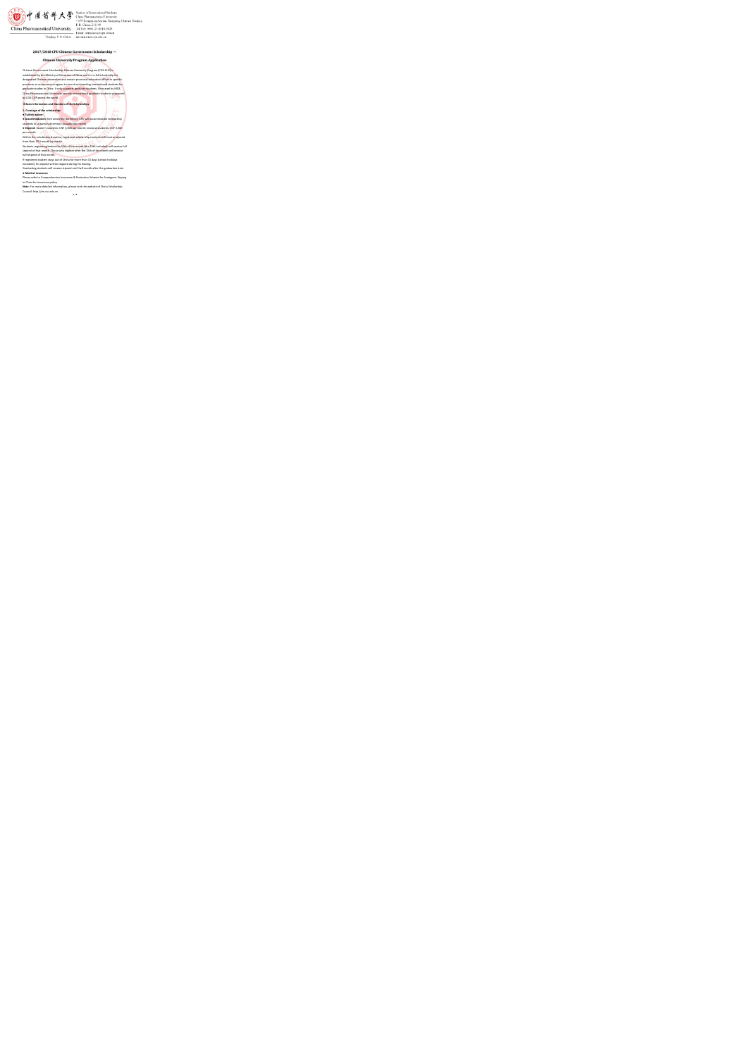$\begin{picture}(150,10) \put(0,0){\vector(1,0){100}} \put(0,0){\vector(1,0){100}} \put(0,0){\vector(1,0){100}} \put(0,0){\vector(1,0){100}} \put(0,0){\vector(1,0){100}} \put(0,0){\vector(1,0){100}} \put(0,0){\vector(1,0){100}} \put(0,0){\vector(1,0){100}} \put(0,0){\vector(1,0){100}} \put(0,0){\vector(1,0){100}} \put(0,0){\vector(1,0){100}} \put(0,0){\vector($ 

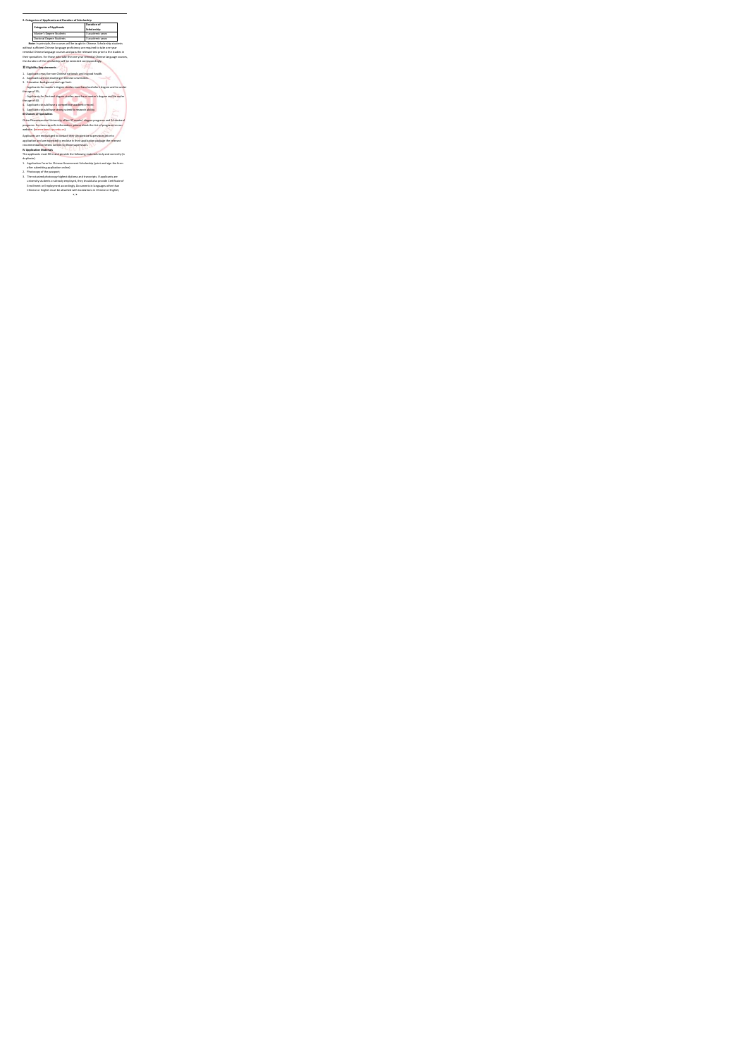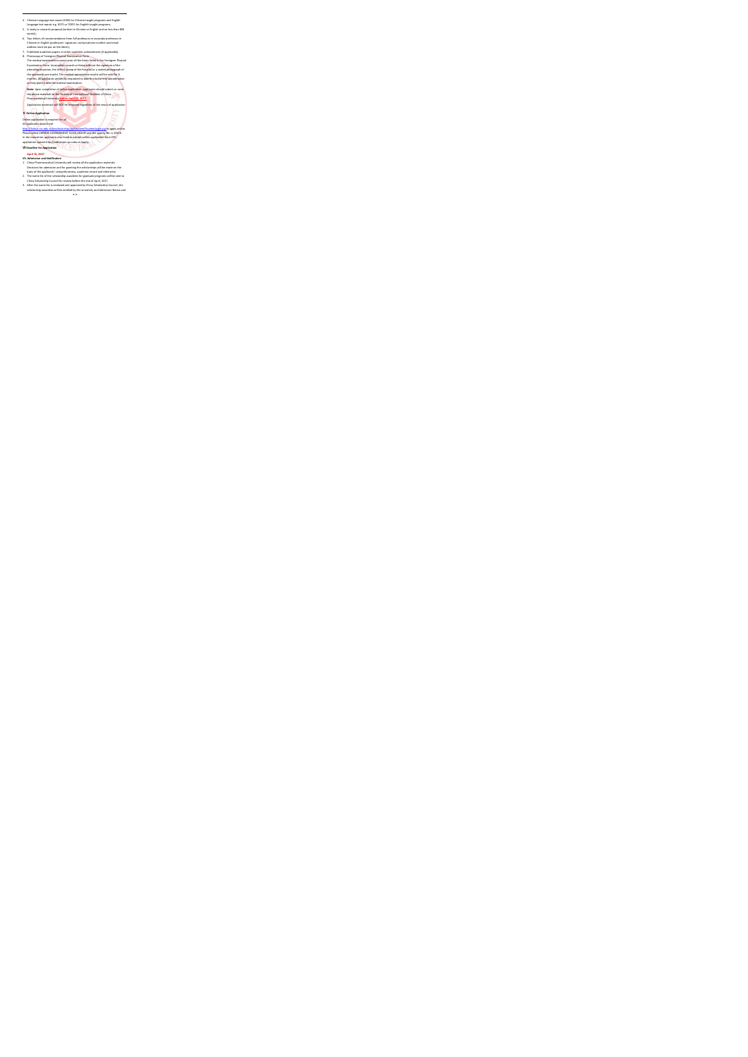